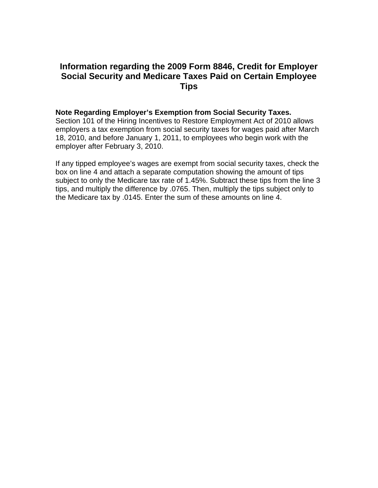# **Information regarding the 2009 Form 8846, Credit for Employer Social Security and Medicare Taxes Paid on Certain Employee Tips**

## **Note Regarding Employer's Exemption from Social Security Taxes.**

Section 101 of the Hiring Incentives to Restore Employment Act of 2010 allows employers a tax exemption from social security taxes for wages paid after March 18, 2010, and before January 1, 2011, to employees who begin work with the employer after February 3, 2010.

If any tipped employee's wages are exempt from social security taxes, check the box on line 4 and attach a separate computation showing the amount of tips subject to only the Medicare tax rate of 1.45%. Subtract these tips from the line 3 tips, and multiply the difference by .0765. Then, multiply the tips subject only to the Medicare tax by .0145. Enter the sum of these amounts on line 4.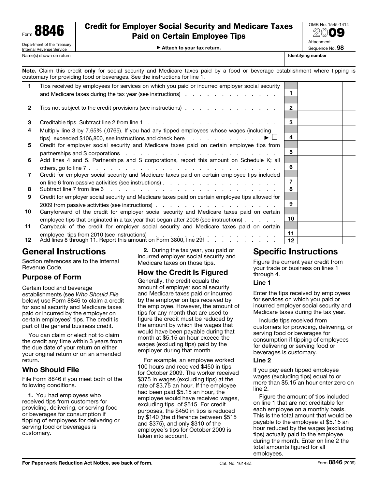

# Credit for Employer Social Security and Medicare Taxes Paid on Certain Employee Tips

© **Attach to your tax return.**

**20**09 **Attachment** Sequence No. **98**

OMB No. 1545-1414

**Note.** Claim this credit **only** for social security and Medicare taxes paid by a food or beverage establishment where tipping is customary for providing food or beverages. See the instructions for line 1.

|              | Tips received by employees for services on which you paid or incurred employer social security                                                                                                                                                                                                                             | $\blacksquare$ |  |
|--------------|----------------------------------------------------------------------------------------------------------------------------------------------------------------------------------------------------------------------------------------------------------------------------------------------------------------------------|----------------|--|
| $\mathbf{2}$ | Tips not subject to the credit provisions (see instructions)                                                                                                                                                                                                                                                               | $\overline{2}$ |  |
|              |                                                                                                                                                                                                                                                                                                                            |                |  |
| 3            |                                                                                                                                                                                                                                                                                                                            | 3              |  |
| 4            | Multiply line 3 by 7.65% (.0765). If you had any tipped employees whose wages (including                                                                                                                                                                                                                                   |                |  |
|              |                                                                                                                                                                                                                                                                                                                            | 4              |  |
| 5            | Credit for employer social security and Medicare taxes paid on certain employee tips from                                                                                                                                                                                                                                  | 5              |  |
| 6            | partnerships and S corporations resolution of the contract of the contract of the contract of the contract of the contract of the contract of the contract of the contract of the contract of the contract of the contract of<br>Add lines 4 and 5. Partnerships and S corporations, report this amount on Schedule K; all |                |  |
|              |                                                                                                                                                                                                                                                                                                                            | 6              |  |
| 7            | Credit for employer social security and Medicare taxes paid on certain employee tips included                                                                                                                                                                                                                              |                |  |
|              |                                                                                                                                                                                                                                                                                                                            | 7              |  |
| 8            |                                                                                                                                                                                                                                                                                                                            | 8              |  |
| 9            | Credit for employer social security and Medicare taxes paid on certain employee tips allowed for                                                                                                                                                                                                                           |                |  |
|              |                                                                                                                                                                                                                                                                                                                            | 9              |  |
| 10           | Carryforward of the credit for employer social security and Medicare taxes paid on certain                                                                                                                                                                                                                                 |                |  |
|              | employee tips that originated in a tax year that began after 2006 (see instructions).                                                                                                                                                                                                                                      | 10             |  |
| 11           | Carryback of the credit for employer social security and Medicare taxes paid on certain                                                                                                                                                                                                                                    |                |  |
|              | employee tips from 2010 (see instructions)<br>Add lines 8 through 11. Report this amount on Form 3800, line 29f                                                                                                                                                                                                            | 11             |  |
| 12           |                                                                                                                                                                                                                                                                                                                            | 12             |  |

# **General Instructions**

Section references are to the Internal Revenue Code.

# **Purpose of Form**

Certain food and beverage establishments (see *Who Should File* below) use Form 8846 to claim a credit for social security and Medicare taxes paid or incurred by the employer on certain employees' tips. The credit is part of the general business credit.

You can claim or elect not to claim the credit any time within 3 years from the due date of your return on either your original return or on an amended return.

# **Who Should File**

File Form 8846 if you meet both of the following conditions.

**1.** You had employees who received tips from customers for providing, delivering, or serving food or beverages for consumption if tipping of employees for delivering or serving food or beverages is customary.

**2.** During the tax year, you paid or incurred employer social security and Medicare taxes on those tips.

# **How the Credit Is Figured**

Generally, the credit equals the amount of employer social security and Medicare taxes paid or incurred by the employer on tips received by the employee. However, the amount of tips for any month that are used to figure the credit must be reduced by the amount by which the wages that would have been payable during that month at \$5.15 an hour exceed the wages (excluding tips) paid by the employer during that month.

For example, an employee worked 100 hours and received \$450 in tips for October 2009. The worker received \$375 in wages (excluding tips) at the rate of \$3.75 an hour. If the employee had been paid \$5.15 an hour, the employee would have received wages, excluding tips, of \$515. For credit purposes, the \$450 in tips is reduced by \$140 (the difference between \$515 and \$375), and only \$310 of the employee's tips for October 2009 is taken into account.

# **Specific Instructions**

Figure the current year credit from your trade or business on lines 1 through 4.

## **Line 1**

Enter the tips received by employees for services on which you paid or incurred employer social security and Medicare taxes during the tax year.

Include tips received from customers for providing, delivering, or serving food or beverages for consumption if tipping of employees for delivering or serving food or beverages is customary.

## **Line 2**

If you pay each tipped employee wages (excluding tips) equal to or more than \$5.15 an hour enter zero on line 2.

Figure the amount of tips included on line 1 that are not creditable for each employee on a monthly basis. This is the total amount that would be payable to the employee at \$5.15 an hour reduced by the wages (excluding tips) actually paid to the employee during the month. Enter on line 2 the total amounts figured for all employees.